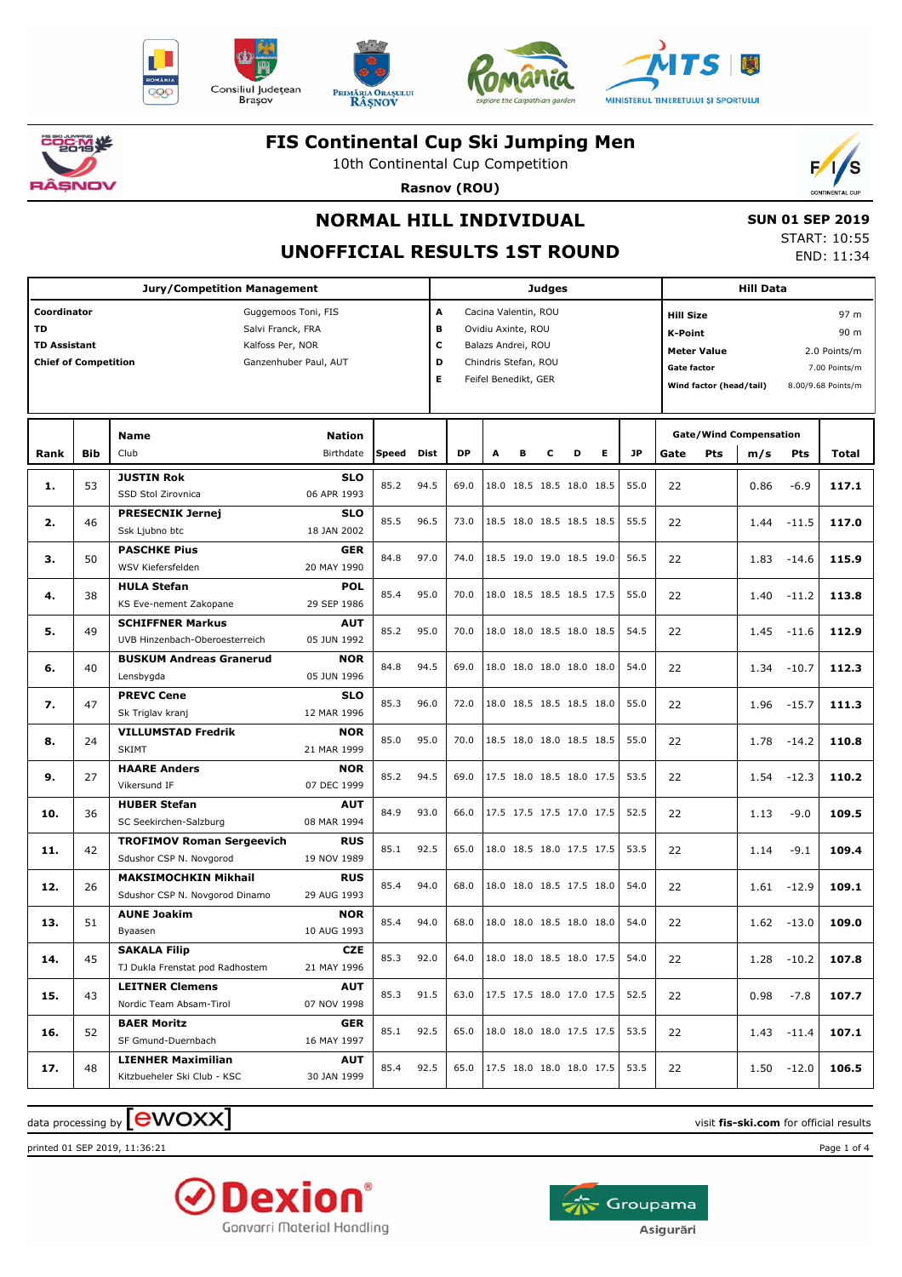









**こうごく 茶** ìsNOV

#### **FIS Continental Cup Ski Jumping Men**

10th Continental Cup Competition

**Rasnov (ROU)**



# **NORMAL HILL INDIVIDUAL**

**UNOFFICIAL RESULTS 1ST ROUND**

| <b>SUN 01 SEP 2019</b> |              |  |
|------------------------|--------------|--|
|                        | CTANT. 10.00 |  |

START: 10:55 END: 11:34

| <b>Jury/Competition Management</b>                                                                                                                                                     |     |                                                                                |                                          |       |             | Judges                                                                                                                                    |   |   |   |                          |   |           |                                                                                                           | <b>Hill Data</b> |                               |                                                                     |       |  |
|----------------------------------------------------------------------------------------------------------------------------------------------------------------------------------------|-----|--------------------------------------------------------------------------------|------------------------------------------|-------|-------------|-------------------------------------------------------------------------------------------------------------------------------------------|---|---|---|--------------------------|---|-----------|-----------------------------------------------------------------------------------------------------------|------------------|-------------------------------|---------------------------------------------------------------------|-------|--|
| Coordinator<br>Guggemoos Toni, FIS<br><b>TD</b><br>Salvi Franck, FRA<br><b>TD Assistant</b><br>Kalfoss Per, NOR<br><b>Chief of Competition</b><br>Ganzenhuber Paul, AUT<br><b>Name</b> |     |                                                                                |                                          |       |             | Cacina Valentin, ROU<br>A<br>в<br>Ovidiu Axinte, ROU<br>с<br>Balazs Andrei, ROU<br>D<br>Chindris Stefan, ROU<br>Е<br>Feifel Benedikt, GER |   |   |   |                          |   |           | <b>Hill Size</b><br><b>K-Point</b><br><b>Meter Value</b><br><b>Gate factor</b><br>Wind factor (head/tail) |                  |                               | 97 m<br>90 m<br>2.0 Points/m<br>7.00 Points/m<br>8.00/9.68 Points/m |       |  |
|                                                                                                                                                                                        |     |                                                                                | <b>Nation</b>                            |       |             |                                                                                                                                           |   |   |   |                          |   |           |                                                                                                           |                  | <b>Gate/Wind Compensation</b> |                                                                     |       |  |
| Rank                                                                                                                                                                                   | Bib | Club                                                                           | Birthdate                                | Speed | <b>Dist</b> | <b>DP</b>                                                                                                                                 | A | в | с | D                        | Е | <b>JP</b> | Gate                                                                                                      | Pts              | m/s                           | Pts                                                                 | Total |  |
| 1.                                                                                                                                                                                     | 53  | <b>JUSTIN Rok</b><br>SSD Stol Zirovnica                                        | <b>SLO</b><br>06 APR 1993                | 85.2  | 94.5        | 69.0                                                                                                                                      |   |   |   | 18.0 18.5 18.5 18.0 18.5 |   | 55.0      | 22                                                                                                        |                  | 0.86                          | $-6.9$                                                              | 117.1 |  |
| 2.                                                                                                                                                                                     | 46  | <b>PRESECNIK Jernej</b><br>Ssk Ljubno btc                                      | <b>SLO</b><br>18 JAN 2002                | 85.5  | 96.5        | 73.0                                                                                                                                      |   |   |   | 18.5 18.0 18.5 18.5 18.5 |   | 55.5      | 22                                                                                                        |                  | 1.44                          | $-11.5$                                                             | 117.0 |  |
| з.                                                                                                                                                                                     | 50  | <b>PASCHKE Pius</b><br>WSV Kiefersfelden                                       | GER<br>20 MAY 1990                       | 84.8  | 97.0        | 74.0                                                                                                                                      |   |   |   | 18.5 19.0 19.0 18.5 19.0 |   | 56.5      | 22                                                                                                        |                  | 1.83                          | $-14.6$                                                             | 115.9 |  |
| 4.                                                                                                                                                                                     | 38  | <b>HULA Stefan</b><br>KS Eve-nement Zakopane                                   | <b>POL</b><br>29 SEP 1986                | 85.4  | 95.0        | 70.0                                                                                                                                      |   |   |   | 18.0 18.5 18.5 18.5 17.5 |   | 55.0      | 22                                                                                                        |                  | 1.40                          | $-11.2$                                                             | 113.8 |  |
| 5.                                                                                                                                                                                     | 49  | <b>SCHIFFNER Markus</b>                                                        | <b>AUT</b><br>05 JUN 1992                | 85.2  | 95.0        | 70.0                                                                                                                                      |   |   |   | 18.0 18.0 18.5 18.0 18.5 |   | 54.5      | 22                                                                                                        |                  | 1.45                          | $-11.6$                                                             | 112.9 |  |
| 6.                                                                                                                                                                                     | 40  | UVB Hinzenbach-Oberoesterreich<br><b>BUSKUM Andreas Granerud</b><br>Lensbygda  | <b>NOR</b><br>05 JUN 1996                | 84.8  | 94.5        | 69.0                                                                                                                                      |   |   |   | 18.0 18.0 18.0 18.0 18.0 |   | 54.0      | 22                                                                                                        |                  | 1.34                          | $-10.7$                                                             | 112.3 |  |
| 7.                                                                                                                                                                                     | 47  | <b>PREVC Cene</b>                                                              | <b>SLO</b>                               | 85.3  | 96.0        | 72.0                                                                                                                                      |   |   |   | 18.0 18.5 18.5 18.5 18.0 |   | 55.0      | 22                                                                                                        |                  | 1.96                          | $-15.7$                                                             | 111.3 |  |
| 8.                                                                                                                                                                                     | 24  | Sk Triglav kranj<br><b>VILLUMSTAD Fredrik</b>                                  | 12 MAR 1996<br><b>NOR</b>                | 85.0  | 95.0        | 70.0                                                                                                                                      |   |   |   | 18.5 18.0 18.0 18.5 18.5 |   | 55.0      | 22                                                                                                        |                  | 1.78                          | $-14.2$                                                             | 110.8 |  |
|                                                                                                                                                                                        |     | <b>SKIMT</b><br><b>HAARE Anders</b>                                            | 21 MAR 1999<br><b>NOR</b>                |       |             |                                                                                                                                           |   |   |   |                          |   |           |                                                                                                           |                  |                               |                                                                     |       |  |
| 9.                                                                                                                                                                                     | 27  | Vikersund IF<br><b>HUBER Stefan</b>                                            | 07 DEC 1999<br><b>AUT</b>                | 85.2  | 94.5        | 69.0                                                                                                                                      |   |   |   | 17.5 18.0 18.5 18.0 17.5 |   | 53.5      | 22                                                                                                        |                  | 1.54                          | $-12.3$                                                             | 110.2 |  |
| 10.                                                                                                                                                                                    | 36  | SC Seekirchen-Salzburg                                                         | 08 MAR 1994                              | 84.9  | 93.0        | 66.0                                                                                                                                      |   |   |   | 17.5 17.5 17.5 17.0 17.5 |   | 52.5      | 22                                                                                                        |                  | 1.13                          | $-9.0$                                                              | 109.5 |  |
| 11.                                                                                                                                                                                    | 42  | <b>TROFIMOV Roman Sergeevich</b><br>Sdushor CSP N. Novgorod                    | <b>RUS</b><br>19 NOV 1989                | 85.1  | 92.5        | 65.0                                                                                                                                      |   |   |   | 18.0 18.5 18.0 17.5 17.5 |   | 53.5      | 22                                                                                                        |                  | 1.14                          | $-9.1$                                                              | 109.4 |  |
| 12.                                                                                                                                                                                    | 26  | <b>MAKSIMOCHKIN Mikhail</b><br>Sdushor CSP N. Novgorod Dinamo                  | <b>RUS</b><br>29 AUG 1993                | 85.4  | 94.0        | 68.0                                                                                                                                      |   |   |   | 18.0 18.0 18.5 17.5 18.0 |   | 54.0      | 22                                                                                                        |                  | 1.61                          | $-12.9$                                                             | 109.1 |  |
| 13.                                                                                                                                                                                    | 51  | <b>AUNE Joakim</b><br>Byaasen                                                  | <b>NOR</b><br>10 AUG 1993                | 85.4  | 94.0        | 68.0                                                                                                                                      |   |   |   | 18.0 18.0 18.5 18.0 18.0 |   | 54.0      | 22                                                                                                        |                  | 1.62                          | $-13.0$                                                             | 109.0 |  |
| 14.                                                                                                                                                                                    | 45  | <b>SAKALA Filip</b><br>TJ Dukla Frenstat pod Radhostem                         | <b>CZE</b><br>21 MAY 1996                | 85.3  | 92.0        | 64.0                                                                                                                                      |   |   |   | 18.0 18.0 18.5 18.0 17.5 |   | 54.0      | 22                                                                                                        |                  |                               | $1.28 - 10.2$                                                       | 107.8 |  |
| 15.                                                                                                                                                                                    | 43  | <b>LEITNER Clemens</b><br>Nordic Team Absam-Tirol                              | <b>AUT</b><br>07 NOV 1998                | 85.3  | 91.5        | 63.0                                                                                                                                      |   |   |   | 17.5 17.5 18.0 17.0 17.5 |   | 52.5      | 22                                                                                                        |                  | 0.98                          | $-7.8$                                                              | 107.7 |  |
| 16.                                                                                                                                                                                    | 52  | <b>BAER Moritz</b>                                                             | <b>GER</b>                               | 85.1  | 92.5        | 65.0                                                                                                                                      |   |   |   | 18.0 18.0 18.0 17.5 17.5 |   | 53.5      | 22                                                                                                        |                  |                               | $1.43 - 11.4$                                                       | 107.1 |  |
| 17.                                                                                                                                                                                    | 48  | SF Gmund-Duernbach<br><b>LIENHER Maximilian</b><br>Kitzbueheler Ski Club - KSC | 16 MAY 1997<br><b>AUT</b><br>30 JAN 1999 | 85.4  | 92.5        | 65.0                                                                                                                                      |   |   |   | 17.5 18.0 18.0 18.0 17.5 |   | 53.5      | 22                                                                                                        |                  |                               | $1.50 - 12.0$                                                       | 106.5 |  |

 $\alpha$  data processing by  $\boxed{\text{ewOX}}$ 

printed 01 SEP 2019, 11:36:21 Page 1 of 4



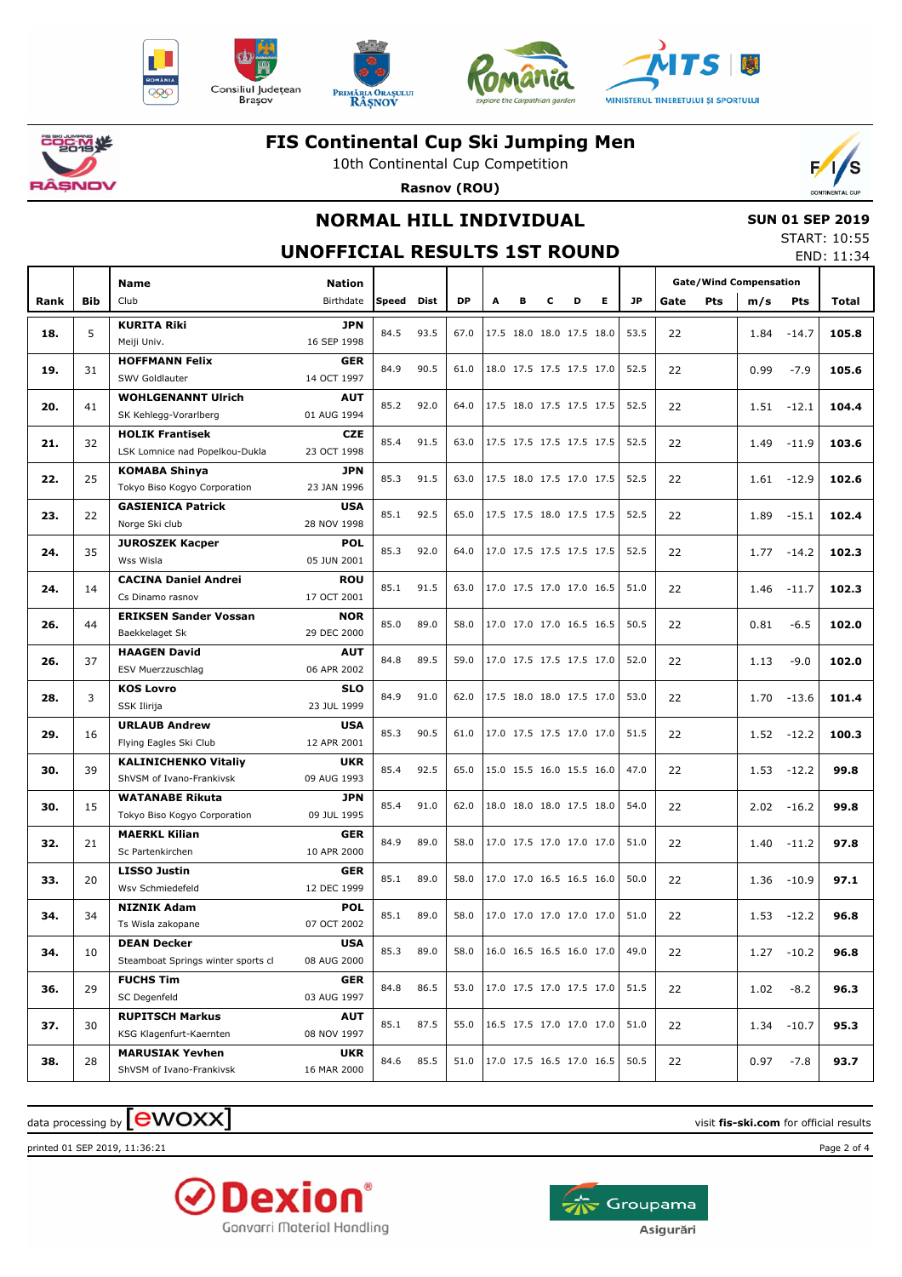











### **FIS Continental Cup Ski Jumping Men**

10th Continental Cup Competition

 $\mathcal{L}$ 

**Rasnov (ROU)**

# **NORMAL HILL INDIVIDUAL**

### **SUN 01 SEP 2019**

#### **UNOFFICIAL RESULTS 1ST ROUND**

| START: 10:55 |            |
|--------------|------------|
|              | END: 11:34 |

|      |            | Name                                                     | <b>Nation</b>             |           |      |           |                          |   |                          |   |    |           | <b>Gate/Wind Compensation</b> |     |      |            |       |
|------|------------|----------------------------------------------------------|---------------------------|-----------|------|-----------|--------------------------|---|--------------------------|---|----|-----------|-------------------------------|-----|------|------------|-------|
| Rank | <b>Bib</b> | Club                                                     | Birthdate                 | Speed     | Dist | <b>DP</b> | A                        | в | c                        | D | E. | <b>JP</b> | Gate                          | Pts | m/s  | <b>Pts</b> | Total |
| 18.  | 5          | <b>KURITA Riki</b><br>Meiji Univ.                        | <b>JPN</b><br>16 SEP 1998 | 84.5      | 93.5 | 67.0      |                          |   | 17.5 18.0 18.0 17.5 18.0 |   |    | 53.5      | 22                            |     | 1.84 | $-14.7$    | 105.8 |
|      |            | <b>HOFFMANN Felix</b>                                    | <b>GER</b>                |           |      |           |                          |   |                          |   |    |           |                               |     |      |            |       |
| 19.  | 31         | SWV Goldlauter                                           | 14 OCT 1997               | 84.9      | 90.5 | 61.0      |                          |   | 18.0 17.5 17.5 17.5 17.0 |   |    | 52.5      | 22                            |     | 0.99 | $-7.9$     | 105.6 |
| 20.  | 41         | <b>WOHLGENANNT Ulrich</b><br>SK Kehlegg-Vorarlberg       | <b>AUT</b><br>01 AUG 1994 | 85.2      | 92.0 | 64.0      |                          |   | 17.5 18.0 17.5 17.5 17.5 |   |    | 52.5      | 22                            |     | 1.51 | $-12.1$    | 104.4 |
| 21.  | 32         | <b>HOLIK Frantisek</b>                                   | <b>CZE</b>                | 85.4      | 91.5 | 63.0      |                          |   | 17.5 17.5 17.5 17.5 17.5 |   |    | 52.5      | 22                            |     | 1.49 | $-11.9$    | 103.6 |
|      |            | LSK Lomnice nad Popelkou-Dukla                           | 23 OCT 1998               |           |      |           |                          |   |                          |   |    |           |                               |     |      |            |       |
| 22.  | 25         | <b>KOMABA Shinya</b>                                     | <b>JPN</b>                | 85.3      | 91.5 | 63.0      |                          |   | 17.5 18.0 17.5 17.0 17.5 |   |    | 52.5      | 22                            |     | 1.61 | $-12.9$    | 102.6 |
|      |            | Tokyo Biso Kogyo Corporation                             | 23 JAN 1996               |           |      |           |                          |   |                          |   |    |           |                               |     |      |            |       |
| 23.  | 22         | <b>GASIENICA Patrick</b>                                 | <b>USA</b>                | 85.1      | 92.5 | 65.0      |                          |   | 17.5 17.5 18.0 17.5 17.5 |   |    | 52.5      | 22                            |     | 1.89 | $-15.1$    | 102.4 |
|      |            | Norge Ski club                                           | 28 NOV 1998               |           |      |           |                          |   |                          |   |    |           |                               |     |      |            |       |
| 24.  | 35         | <b>JUROSZEK Kacper</b><br>Wss Wisla                      | <b>POL</b><br>05 JUN 2001 | 85.3      | 92.0 | 64.0      |                          |   | 17.0 17.5 17.5 17.5 17.5 |   |    | 52.5      | 22                            |     | 1.77 | $-14.2$    | 102.3 |
| 24.  | 14         | <b>CACINA Daniel Andrei</b>                              | <b>ROU</b>                | 85.1      | 91.5 | 63.0      |                          |   | 17.0 17.5 17.0 17.0 16.5 |   |    | 51.0      | 22                            |     | 1.46 | $-11.7$    | 102.3 |
|      |            | Cs Dinamo rasnov                                         | 17 OCT 2001               |           |      |           |                          |   |                          |   |    |           |                               |     |      |            |       |
| 26.  | 44         | <b>ERIKSEN Sander Vossan</b><br>Baekkelaget Sk           | <b>NOR</b><br>29 DEC 2000 | 85.0      | 89.0 | 58.0      |                          |   | 17.0 17.0 17.0 16.5 16.5 |   |    | 50.5      | 22                            |     | 0.81 | $-6.5$     | 102.0 |
| 26.  | 37         | <b>HAAGEN David</b>                                      | <b>AUT</b>                | 84.8      | 89.5 | 59.0      |                          |   | 17.0 17.5 17.5 17.5 17.0 |   |    | 52.0      | 22                            |     | 1.13 | $-9.0$     | 102.0 |
|      |            | ESV Muerzzuschlag                                        | 06 APR 2002               |           |      |           |                          |   |                          |   |    |           |                               |     |      |            |       |
| 28.  | 3          | <b>KOS Lovro</b>                                         | <b>SLO</b>                | 84.9      | 91.0 | 62.0      |                          |   | 17.5 18.0 18.0 17.5 17.0 |   |    | 53.0      | 22                            |     | 1.70 | $-13.6$    | 101.4 |
|      |            | SSK Ilirija                                              | 23 JUL 1999               |           |      |           |                          |   |                          |   |    |           |                               |     |      |            |       |
| 29.  | 16         | <b>URLAUB Andrew</b><br>Flying Eagles Ski Club           | <b>USA</b><br>12 APR 2001 | 85.3      | 90.5 | 61.0      |                          |   | 17.0 17.5 17.5 17.0 17.0 |   |    | 51.5      | 22                            |     | 1.52 | $-12.2$    | 100.3 |
|      |            | <b>KALINICHENKO Vitaliy</b>                              | <b>UKR</b>                |           |      |           |                          |   |                          |   |    |           |                               |     |      |            |       |
| 30.  | 39         | ShVSM of Ivano-Frankivsk                                 | 09 AUG 1993               | 85.4      | 92.5 | 65.0      |                          |   | 15.0 15.5 16.0 15.5 16.0 |   |    | 47.0      | 22                            |     | 1.53 | $-12.2$    | 99.8  |
| 30.  | 15         | <b>WATANABE Rikuta</b>                                   | <b>JPN</b>                | 85.4      | 91.0 | 62.0      |                          |   | 18.0 18.0 18.0 17.5 18.0 |   |    | 54.0      | 22                            |     | 2.02 | $-16.2$    | 99.8  |
|      |            | Tokyo Biso Kogyo Corporation                             | 09 JUL 1995               |           |      |           |                          |   |                          |   |    |           |                               |     |      |            |       |
| 32.  | 21         | <b>MAERKL Kilian</b><br>Sc Partenkirchen                 | <b>GER</b><br>10 APR 2000 | 84.9      | 89.0 | 58.0      |                          |   | 17.0 17.5 17.0 17.0 17.0 |   |    | 51.0      | 22                            |     | 1.40 | $-11.2$    | 97.8  |
|      |            | <b>LISSO Justin</b>                                      | <b>GER</b>                |           |      |           |                          |   |                          |   |    |           |                               |     |      |            |       |
| 33.  | 20         | Wsv Schmiedefeld                                         | 12 DEC 1999               | 85.1      | 89.0 | 58.0      |                          |   | 17.0 17.0 16.5 16.5 16.0 |   |    | 50.0      | 22                            |     | 1.36 | $-10.9$    | 97.1  |
| 34.  | 34         | <b>NIZNIK Adam</b>                                       | <b>POL</b>                | 85.1      | 89.0 | 58.0      |                          |   | 17.0 17.0 17.0 17.0 17.0 |   |    | 51.0      | 22                            |     | 1.53 | $-12.2$    | 96.8  |
|      |            | Ts Wisla zakopane                                        | 07 OCT 2002               |           |      |           |                          |   |                          |   |    |           |                               |     |      |            |       |
| 34.  | 10         | <b>DEAN Decker</b><br>Steamboat Springs winter sports cl | <b>USA</b><br>08 AUG 2000 | 85.3 89.0 |      | 58.0      | 16.0 16.5 16.5 16.0 17.0 |   |                          |   |    | 49.0      | 22                            |     | 1.27 | $-10.2$    | 96.8  |
|      |            | <b>FUCHS Tim</b>                                         | <b>GER</b>                |           |      |           |                          |   |                          |   |    |           |                               |     |      |            |       |
| 36.  | 29         | SC Degenfeld                                             | 03 AUG 1997               | 84.8      | 86.5 | 53.0      |                          |   | 17.0 17.5 17.0 17.5 17.0 |   |    | 51.5      | 22                            |     | 1.02 | $-8.2$     | 96.3  |
| 37.  | 30         | <b>RUPITSCH Markus</b><br>KSG Klagenfurt-Kaernten        | <b>AUT</b><br>08 NOV 1997 | 85.1      | 87.5 | 55.0      |                          |   | 16.5 17.5 17.0 17.0 17.0 |   |    | 51.0      | 22                            |     | 1.34 | $-10.7$    | 95.3  |
|      |            | <b>MARUSIAK Yevhen</b>                                   | UKR                       |           |      |           |                          |   |                          |   |    |           |                               |     |      |            |       |
| 38.  | 28         | ShVSM of Ivano-Frankivsk                                 | 16 MAR 2000               | 84.6      | 85.5 | 51.0      |                          |   | 17.0 17.5 16.5 17.0 16.5 |   |    | 50.5      | 22                            |     | 0.97 | $-7.8$     | 93.7  |

## $\alpha$  data processing by  $\boxed{\text{ewOX}}$

printed 01 SEP 2019, 11:36:21 Page 2 of 4



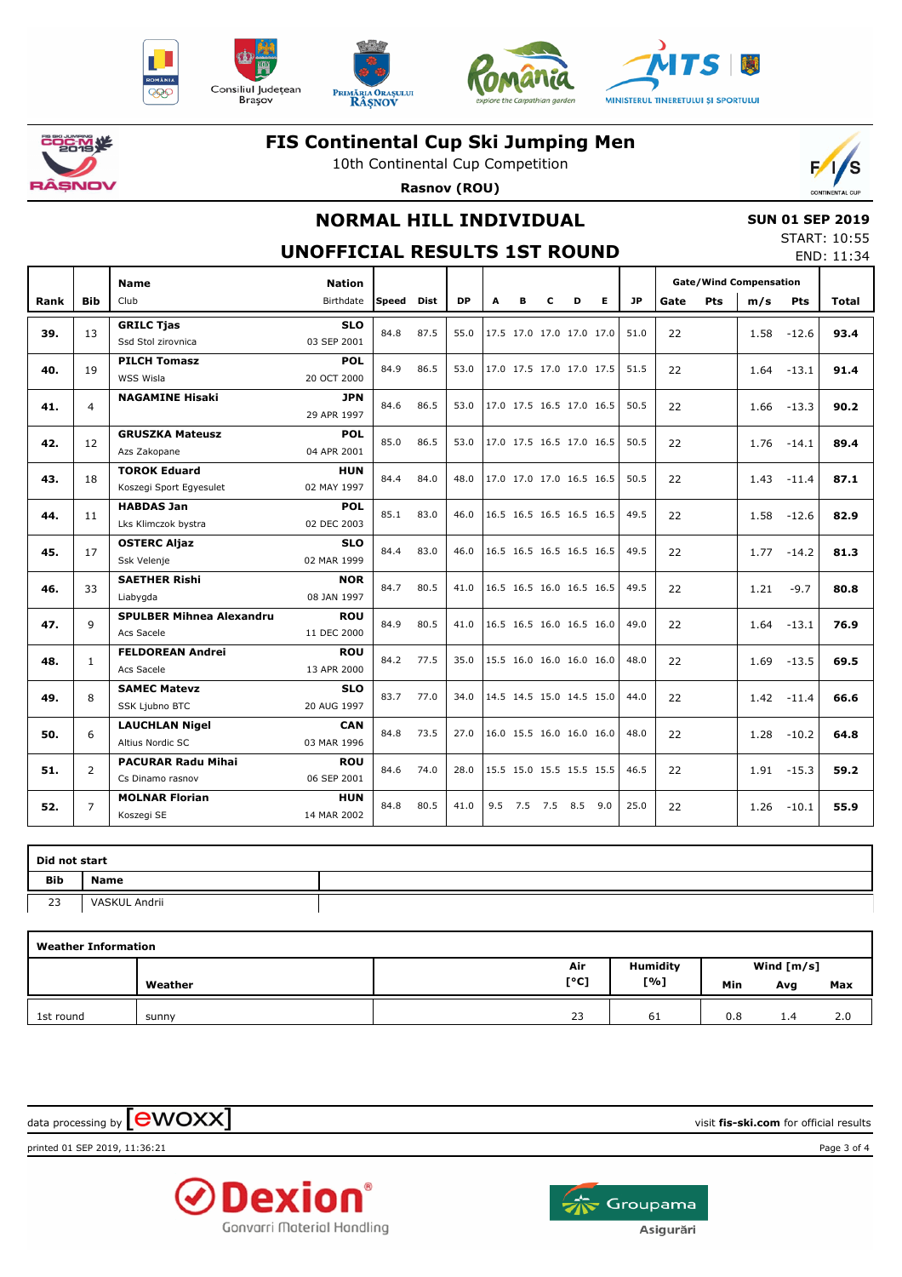











### **FIS Continental Cup Ski Jumping Men**

10th Continental Cup Competition

**Rasnov (ROU)**

# **NORMAL HILL INDIVIDUAL**

## **SUN 01 SEP 2019**

#### **UNOFFICIAL RESULTS 1ST ROUND**

| START: 10:55 |            |
|--------------|------------|
|              | END: 11:34 |

|      |                | <b>Name</b>                     | <b>Nation</b>             |       |             |           |     |      |             |                          |                          |                          | <b>Gate/Wind Compensation</b> |            |      |            |       |         |      |  |  |  |
|------|----------------|---------------------------------|---------------------------|-------|-------------|-----------|-----|------|-------------|--------------------------|--------------------------|--------------------------|-------------------------------|------------|------|------------|-------|---------|------|--|--|--|
| Rank | <b>Bib</b>     | Club                            | Birthdate                 | Speed | <b>Dist</b> | <b>DP</b> | A   | в    | c           | D                        | E.                       | <b>JP</b>                | Gate                          | <b>Pts</b> | m/s  | <b>Pts</b> | Total |         |      |  |  |  |
| 39.  | 13             | <b>GRILC Tjas</b>               | <b>SLO</b>                | 84.8  | 87.5        | 55.0      |     |      |             | 17.5 17.0 17.0 17.0 17.0 |                          | 51.0                     | 22                            |            | 1.58 | $-12.6$    | 93.4  |         |      |  |  |  |
|      |                | Ssd Stol zirovnica              | 03 SEP 2001               |       |             |           |     |      |             |                          |                          |                          |                               |            |      |            |       |         |      |  |  |  |
| 40.  | 19             | <b>PILCH Tomasz</b>             | <b>POL</b>                | 84.9  | 86.5        | 53.0      |     |      |             | 17.0 17.5 17.0 17.0 17.5 |                          | 51.5                     | 22                            |            | 1.64 | $-13.1$    | 91.4  |         |      |  |  |  |
|      |                | WSS Wisla                       | 20 OCT 2000               |       |             |           |     |      |             |                          |                          |                          |                               |            |      |            |       |         |      |  |  |  |
| 41.  | 4              | <b>NAGAMINE Hisaki</b>          | <b>JPN</b><br>29 APR 1997 | 84.6  | 86.5        | 53.0      |     |      |             | 17.0 17.5 16.5 17.0 16.5 |                          | 50.5                     | 22                            |            | 1.66 | $-13.3$    | 90.2  |         |      |  |  |  |
|      |                | <b>GRUSZKA Mateusz</b>          | <b>POL</b>                |       |             |           |     |      |             |                          |                          |                          |                               |            |      |            |       |         |      |  |  |  |
| 42.  | 12             | Azs Zakopane                    | 04 APR 2001               | 85.0  | 86.5        | 53.0      |     |      |             | 17.0 17.5 16.5 17.0 16.5 |                          | 50.5                     | 22                            |            | 1.76 | $-14.1$    | 89.4  |         |      |  |  |  |
|      |                | <b>TOROK Eduard</b>             | <b>HUN</b>                |       |             |           |     |      |             |                          |                          |                          |                               |            |      |            |       |         |      |  |  |  |
| 43.  | 18             | Koszegi Sport Egyesulet         | 02 MAY 1997               | 84.4  | 84.0        | 48.0      |     |      |             |                          | 17.0 17.0 17.0 16.5 16.5 | 50.5                     | 22                            |            | 1.43 | $-11.4$    | 87.1  |         |      |  |  |  |
| 44.  | 11             | <b>HABDAS Jan</b>               | <b>POL</b>                | 85.1  | 83.0        | 46.0      |     |      |             | 16.5 16.5 16.5 16.5 16.5 |                          | 49.5                     | 22                            |            |      |            | 82.9  |         |      |  |  |  |
|      |                | Lks Klimczok bystra             | 02 DEC 2003               |       |             |           |     |      |             |                          |                          |                          |                               |            | 1.58 | $-12.6$    |       |         |      |  |  |  |
| 45.  | 17             | <b>OSTERC Aljaz</b>             | <b>SLO</b>                | 84.4  | 83.0        | 46.0      |     |      |             | 16.5 16.5 16.5 16.5 16.5 |                          | 49.5                     | 22                            |            | 1.77 | $-14.2$    | 81.3  |         |      |  |  |  |
|      |                | Ssk Velenje                     | 02 MAR 1999               |       |             |           |     |      |             |                          |                          |                          |                               |            |      |            |       |         |      |  |  |  |
| 46.  | 33             | <b>SAETHER Rishi</b>            | <b>NOR</b>                | 84.7  | 80.5        | 41.0      |     |      |             | 16.5 16.5 16.0 16.5 16.5 |                          | 49.5                     | 22                            |            | 1.21 | $-9.7$     | 80.8  |         |      |  |  |  |
|      |                | Liabygda                        | 08 JAN 1997               |       |             |           |     |      |             |                          |                          |                          |                               |            |      |            |       |         |      |  |  |  |
| 47.  | 9              | <b>SPULBER Mihnea Alexandru</b> | <b>ROU</b>                | 84.9  | 80.5        | 41.0      |     |      |             | 16.5 16.5 16.0 16.5 16.0 |                          | 49.0                     | 22                            |            | 1.64 | $-13.1$    | 76.9  |         |      |  |  |  |
|      |                | Acs Sacele                      | 11 DEC 2000               |       |             |           |     |      |             |                          |                          |                          |                               |            |      |            |       |         |      |  |  |  |
| 48.  | $\mathbf{1}$   | <b>FELDOREAN Andrei</b>         | <b>ROU</b>                | 84.2  | 77.5        |           |     | 35.0 |             |                          |                          | 15.5 16.0 16.0 16.0 16.0 |                               | 48.0       | 22   |            | 1.69  | $-13.5$ | 69.5 |  |  |  |
|      |                | Acs Sacele                      | 13 APR 2000               |       |             |           |     |      |             |                          |                          |                          |                               |            |      |            |       |         |      |  |  |  |
| 49.  | 8              | <b>SAMEC Matevz</b>             | <b>SLO</b>                | 83.7  | 77.0        | 34.0      |     |      |             | 14.5 14.5 15.0 14.5 15.0 |                          | 44.0                     | 22                            |            | 1.42 | $-11.4$    | 66.6  |         |      |  |  |  |
|      |                | SSK Ljubno BTC                  | 20 AUG 1997               |       |             |           |     |      |             |                          |                          |                          |                               |            |      |            |       |         |      |  |  |  |
| 50.  | 6              | <b>LAUCHLAN Nigel</b>           | <b>CAN</b>                | 84.8  | 73.5        | 27.0      |     |      |             | 16.0 15.5 16.0 16.0 16.0 |                          | 48.0                     | 22                            |            | 1.28 | $-10.2$    | 64.8  |         |      |  |  |  |
|      |                | Altius Nordic SC                | 03 MAR 1996               |       |             |           |     |      |             |                          |                          |                          |                               |            |      |            |       |         |      |  |  |  |
| 51.  | $\overline{2}$ | <b>PACURAR Radu Mihai</b>       | <b>ROU</b>                | 84.6  | 74.0        | 28.0      |     |      |             | 15.5 15.0 15.5 15.5 15.5 |                          | 46.5                     | 22                            |            | 1.91 | $-15.3$    | 59.2  |         |      |  |  |  |
|      |                | Cs Dinamo rasnov                | 06 SEP 2001               |       |             |           |     |      |             |                          |                          |                          |                               |            |      |            |       |         |      |  |  |  |
| 52.  | 7              | <b>MOLNAR Florian</b>           | <b>HUN</b>                | 84.8  | 80.5        | 41.0      | 9.5 |      | 7.5 7.5 8.5 |                          | 9.0                      | 25.0                     | 22                            |            | 1.26 | $-10.1$    | 55.9  |         |      |  |  |  |
|      |                | Koszegi SE                      | 14 MAR 2002               |       |             |           |     |      |             |                          |                          |                          |                               |            |      |            |       |         |      |  |  |  |

| Did not start |               |  |  |  |  |  |  |  |  |
|---------------|---------------|--|--|--|--|--|--|--|--|
| Bib           | <b>Name</b>   |  |  |  |  |  |  |  |  |
| 23            | VASKUL Andrii |  |  |  |  |  |  |  |  |

| <b>Weather Information</b> |         |      |                 |              |     |     |  |  |  |  |  |
|----------------------------|---------|------|-----------------|--------------|-----|-----|--|--|--|--|--|
|                            |         | Air  | <b>Humidity</b> | Wind $[m/s]$ |     |     |  |  |  |  |  |
|                            | Weather | [°C] | [%]             | Min          | Avg | Max |  |  |  |  |  |
| 1st round                  | sunny   | 23   | 61              | 0.8          | 1.4 | 2.0 |  |  |  |  |  |

 $\alpha$  data processing by  $\boxed{\text{ewOX}}$ 

printed 01 SEP 2019, 11:36:21 Page 3 of 4